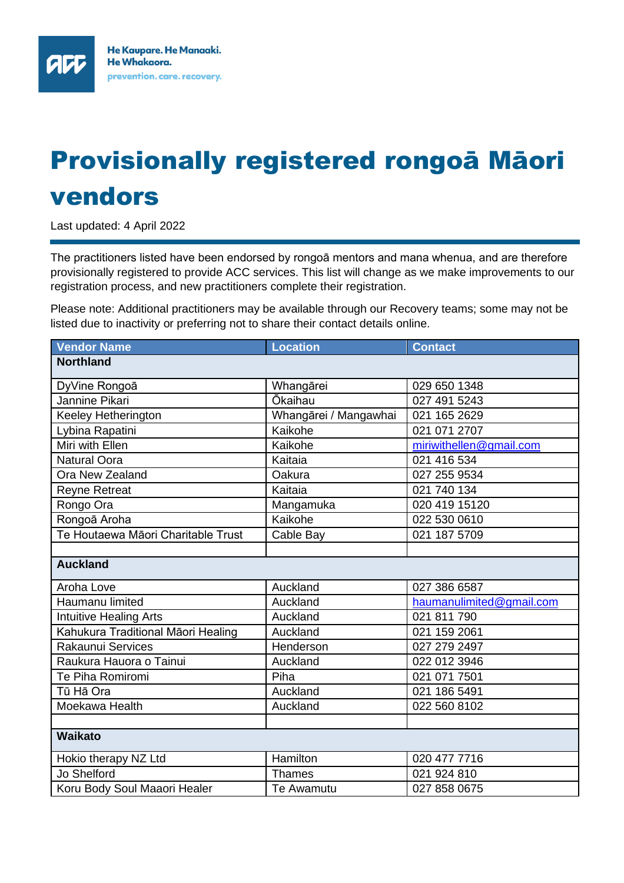## Provisionally registered rongoā Māori vendors

Last updated: 4 April 2022

ЯИ

The practitioners listed have been endorsed by rongoā mentors and mana whenua, and are therefore provisionally registered to provide ACC services. This list will change as we make improvements to our registration process, and new practitioners complete their registration.

Please note: Additional practitioners may be available through our Recovery teams; some may not be listed due to inactivity or preferring not to share their contact details online.

| <b>Vendor Name</b>                 | <b>Location</b>       | <b>Contact</b>           |
|------------------------------------|-----------------------|--------------------------|
| <b>Northland</b>                   |                       |                          |
| DyVine Rongoā                      | Whangārei             | 029 650 1348             |
| Jannine Pikari                     | <b>Ōkaihau</b>        | 027 491 5243             |
| Keeley Hetherington                | Whangārei / Mangawhai | 021 165 2629             |
| Lybina Rapatini                    | Kaikohe               | 021 071 2707             |
| Miri with Ellen                    | Kaikohe               | miriwithellen@gmail.com  |
| <b>Natural Oora</b>                | Kaitaia               | 021 416 534              |
| Ora New Zealand                    | Oakura                | 027 255 9534             |
| <b>Reyne Retreat</b>               | Kaitaia               | 021 740 134              |
| Rongo Ora                          | Mangamuka             | 020 419 15120            |
| Rongoā Aroha                       | Kaikohe               | 022 530 0610             |
| Te Houtaewa Māori Charitable Trust | Cable Bay             | 021 187 5709             |
|                                    |                       |                          |
| <b>Auckland</b>                    |                       |                          |
| Aroha Love                         | Auckland              | 027 386 6587             |
| Haumanu limited                    | Auckland              | haumanulimited@gmail.com |
| Intuitive Healing Arts             | Auckland              | 021 811 790              |
| Kahukura Traditional Māori Healing | Auckland              | 021 159 2061             |
| Rakaunui Services                  | Henderson             | 027 279 2497             |
| Raukura Hauora o Tainui            | Auckland              | 022 012 3946             |
| Te Piha Romiromi                   | Piha                  | 021 071 7501             |
| Tū Hā Ora                          | Auckland              | 021 186 5491             |
| Moekawa Health                     | Auckland              | 022 560 8102             |
|                                    |                       |                          |
| Waikato                            |                       |                          |
| Hokio therapy NZ Ltd               | Hamilton              | 020 477 7716             |
| <b>Jo Shelford</b>                 | <b>Thames</b>         | 021 924 810              |
| Koru Body Soul Maaori Healer       | Te Awamutu            | 027 858 0675             |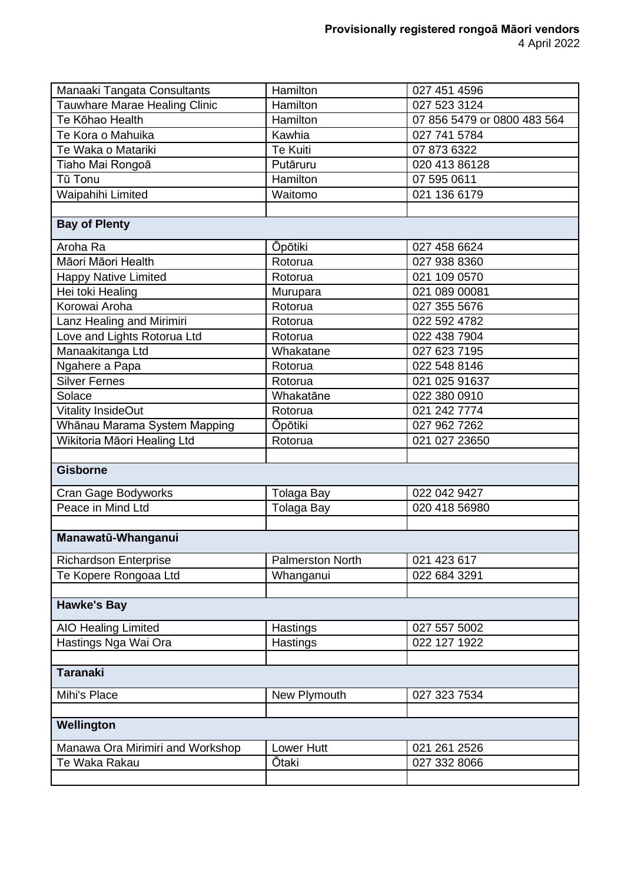| Manaaki Tangata Consultants      | Hamilton                | 027 451 4596                |
|----------------------------------|-------------------------|-----------------------------|
| Tauwhare Marae Healing Clinic    | Hamilton                | 027 523 3124                |
| Te Kōhao Health                  | Hamilton                | 07 856 5479 or 0800 483 564 |
| Te Kora o Mahuika                | Kawhia                  | 027 741 5784                |
| Te Waka o Matariki               | <b>Te Kuiti</b>         | 07 873 6322                 |
| Tiaho Mai Rongoā                 | Putāruru                | 020 413 86128               |
| Tū Tonu                          | Hamilton                | 07 595 0611                 |
| Waipahihi Limited                | Waitomo                 | 021 136 6179                |
|                                  |                         |                             |
| <b>Bay of Plenty</b>             |                         |                             |
| Aroha Ra                         | <b>Opotiki</b>          | 027 458 6624                |
| Māori Māori Health               | Rotorua                 | 027 938 8360                |
| <b>Happy Native Limited</b>      | Rotorua                 | 021 109 0570                |
| Hei toki Healing                 | Murupara                | 021 089 00081               |
| Korowai Aroha                    | Rotorua                 | 027 355 5676                |
| Lanz Healing and Mirimiri        | Rotorua                 | 022 592 4782                |
| Love and Lights Rotorua Ltd      | Rotorua                 | 022 438 7904                |
| Manaakitanga Ltd                 | Whakatane               | 027 623 7195                |
| Ngahere a Papa                   | Rotorua                 | 022 548 8146                |
| <b>Silver Fernes</b>             | Rotorua                 | 021 025 91637               |
| Solace                           | Whakatāne               | 022 380 0910                |
| <b>Vitality InsideOut</b>        | Rotorua                 | 021 242 7774                |
| Whānau Marama System Mapping     | <b>Opōtiki</b>          | 027 962 7262                |
| Wikitoria Māori Healing Ltd      | Rotorua                 | 021 027 23650               |
|                                  |                         |                             |
| <b>Gisborne</b>                  |                         |                             |
| Cran Gage Bodyworks              | <b>Tolaga Bay</b>       | 022 042 9427                |
| Peace in Mind Ltd                | <b>Tolaga Bay</b>       | 020 418 56980               |
|                                  |                         |                             |
| Manawatū-Whanganui               |                         |                             |
| <b>Richardson Enterprise</b>     | <b>Palmerston North</b> | 021 423 617                 |
| Te Kopere Rongoaa Ltd            | Whanganui               | 022 684 3291                |
|                                  |                         |                             |
| <b>Hawke's Bay</b>               |                         |                             |
| <b>AIO Healing Limited</b>       | Hastings                | 027 557 5002                |
| Hastings Nga Wai Ora             | Hastings                | 022 127 1922                |
|                                  |                         |                             |
| <b>Taranaki</b>                  |                         |                             |
| Mihi's Place                     | New Plymouth            | 027 323 7534                |
|                                  |                         |                             |
| Wellington                       |                         |                             |
|                                  |                         |                             |
| Manawa Ora Mirimiri and Workshop | Lower Hutt              | 021 261 2526                |
| Te Waka Rakau                    | Ōtaki                   | 027 332 8066                |